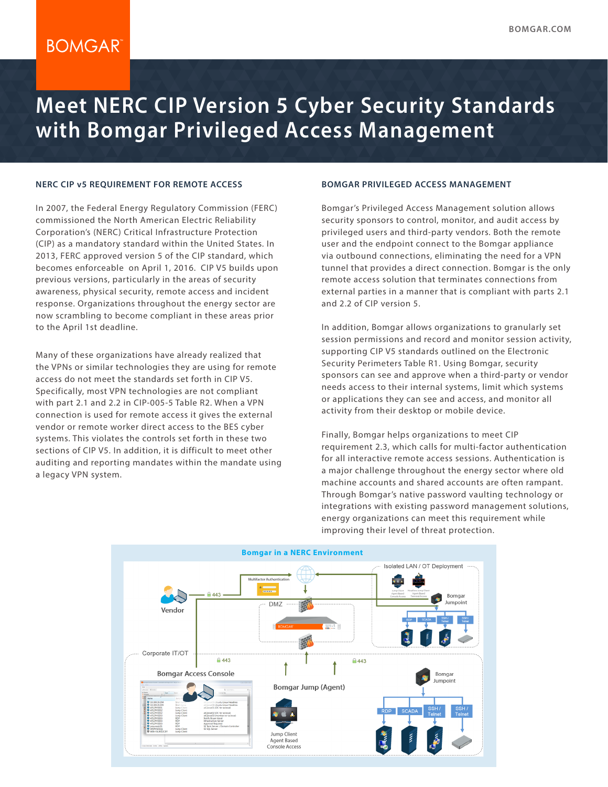# **BOMGAR**

# **Meet NERC CIP Version 5 Cyber Security Standards with Bomgar Privileged Access Management**

#### **NERC CIP v5 REQUIREMENT FOR REMOTE ACCESS**

In 2007, the Federal Energy Regulatory Commission (FERC) commissioned the North American Electric Reliability Corporation's (NERC) Critical Infrastructure Protection (CIP) as a mandatory standard within the United States. In 2013, FERC approved version 5 of the CIP standard, which becomes enforceable on April 1, 2016. CIP V5 builds upon previous versions, particularly in the areas of security awareness, physical security, remote access and incident response. Organizations throughout the energy sector are now scrambling to become compliant in these areas prior to the April 1st deadline.

Many of these organizations have already realized that the VPNs or similar technologies they are using for remote access do not meet the standards set forth in CIP V5. Specifically, most VPN technologies are not compliant with part 2.1 and 2.2 in CIP-005-5 Table R2. When a VPN connection is used for remote access it gives the external vendor or remote worker direct access to the BES cyber systems. This violates the controls set forth in these two sections of CIP V5. In addition, it is difficult to meet other auditing and reporting mandates within the mandate using a legacy VPN system.

#### **BOMGAR PRIVILEGED ACCESS MANAGEMENT**

Bomgar's Privileged Access Management solution allows security sponsors to control, monitor, and audit access by privileged users and third-party vendors. Both the remote user and the endpoint connect to the Bomgar appliance via outbound connections, eliminating the need for a VPN tunnel that provides a direct connection. Bomgar is the only remote access solution that terminates connections from external parties in a manner that is compliant with parts 2.1 and 2.2 of CIP version 5.

In addition, Bomgar allows organizations to granularly set session permissions and record and monitor session activity, supporting CIP V5 standards outlined on the Electronic Security Perimeters Table R1. Using Bomgar, security sponsors can see and approve when a third-party or vendor needs access to their internal systems, limit which systems or applications they can see and access, and monitor all activity from their desktop or mobile device.

Finally, Bomgar helps organizations to meet CIP requirement 2.3, which calls for multi-factor authentication for all interactive remote access sessions. Authentication is a major challenge throughout the energy sector where old machine accounts and shared accounts are often rampant. Through Bomgar's native password vaulting technology or integrations with existing password management solutions, energy organizations can meet this requirement while improving their level of threat protection.